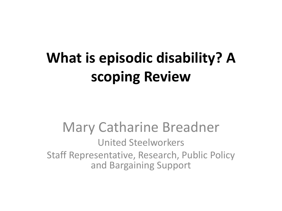### **What is episodic disability? A scoping Review**

Mary Catharine Breadner United Steelworkers Staff Representative, Research, Public Policy and Bargaining Support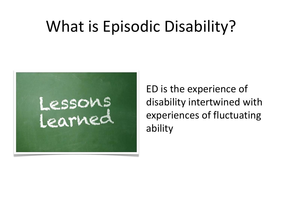## What is Episodic Disability?



ED is the experience of disability intertwined with experiences of fluctuating ability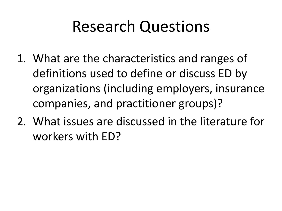### Research Questions

- 1. What are the characteristics and ranges of definitions used to define or discuss ED by organizations (including employers, insurance companies, and practitioner groups)?
- 2. What issues are discussed in the literature for workers with ED?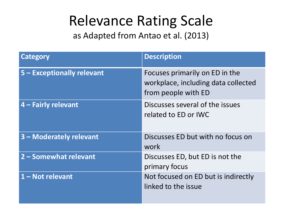#### Relevance Rating Scale

as Adapted from Antao et al. (2013)

| Category                   | <b>Description</b>                                                                           |
|----------------------------|----------------------------------------------------------------------------------------------|
| 5 - Exceptionally relevant | Focuses primarily on ED in the<br>workplace, including data collected<br>from people with ED |
| 4 – Fairly relevant        | Discusses several of the issues<br>related to ED or IWC                                      |
| 3 - Moderately relevant    | Discusses ED but with no focus on<br>work                                                    |
| 2 - Somewhat relevant      | Discusses ED, but ED is not the<br>primary focus                                             |
| 1 - Not relevant           | Not focused on ED but is indirectly<br>linked to the issue                                   |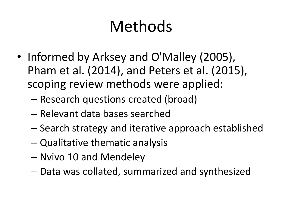## Methods

- Informed by Arksey and O'Malley (2005), Pham et al. (2014), and Peters et al. (2015), scoping review methods were applied:
	- Research questions created (broad)
	- Relevant data bases searched
	- Search strategy and iterative approach established
	- Qualitative thematic analysis
	- Nvivo 10 and Mendeley
	- Data was collated, summarized and synthesized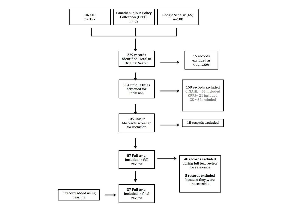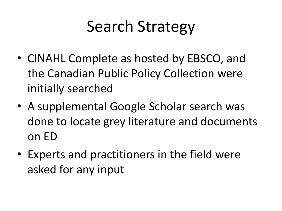# Search Strategy

- CINAHL Complete as hosted by EBSCO, and the Canadian Public Policy Collection were initially searched
- A supplemental Google Scholar search was done to locate grey literature and documents on ED
- Experts and practitioners in the field were asked for any input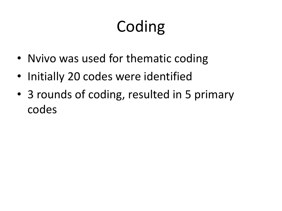# **Coding**

- Nvivo was used for thematic coding
- Initially 20 codes were identified
- 3 rounds of coding, resulted in 5 primary codes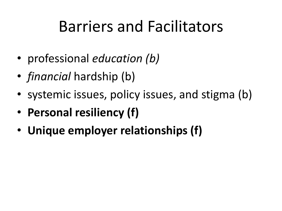### Barriers and Facilitators

- professional *education (b)*
- *financial* hardship (b)
- systemic issues, policy issues, and stigma (b)
- **Personal resiliency (f)**
- **Unique employer relationships (f)**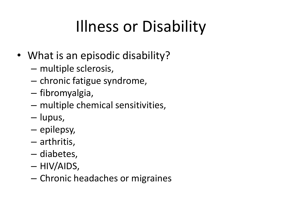# Illness or Disability

- What is an episodic disability?
	- multiple sclerosis,
	- chronic fatigue syndrome,
	- fibromyalgia,
	- multiple chemical sensitivities,
	- lupus,
	- epilepsy,
	- arthritis,
	- diabetes,
	- HIV/AIDS,
	- Chronic headaches or migraines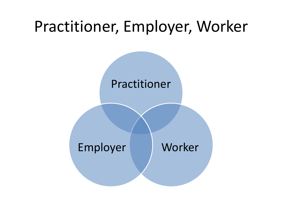#### Practitioner, Employer, Worker

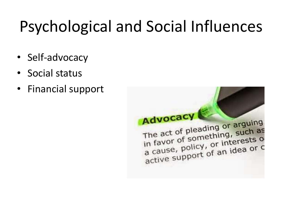# Psychological and Social Influences

- Self-advocacy
- Social status
- Financial support

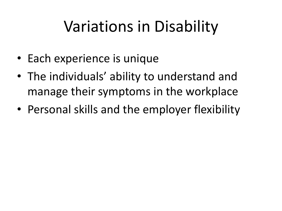## Variations in Disability

- Each experience is unique
- The individuals' ability to understand and manage their symptoms in the workplace
- Personal skills and the employer flexibility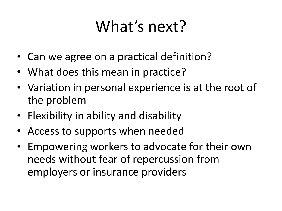## What's next?

- Can we agree on a practical definition?
- What does this mean in practice?
- Variation in personal experience is at the root of the problem
- Flexibility in ability and disability
- Access to supports when needed
- Empowering workers to advocate for their own needs without fear of repercussion from employers or insurance providers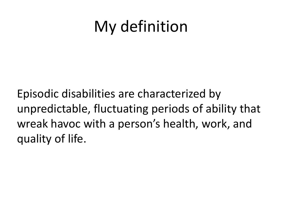### My definition

Episodic disabilities are characterized by unpredictable, fluctuating periods of ability that wreak havoc with a person's health, work, and quality of life.